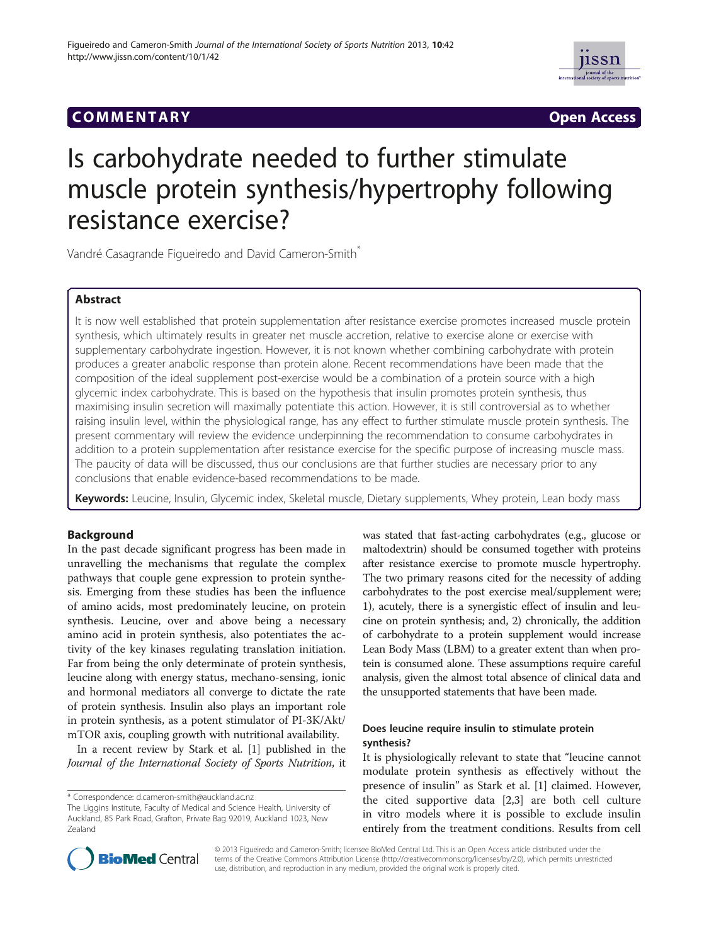



# Is carbohydrate needed to further stimulate muscle protein synthesis/hypertrophy following resistance exercise?

Vandré Casagrande Figueiredo and David Cameron-Smith\*

# Abstract

It is now well established that protein supplementation after resistance exercise promotes increased muscle protein synthesis, which ultimately results in greater net muscle accretion, relative to exercise alone or exercise with supplementary carbohydrate ingestion. However, it is not known whether combining carbohydrate with protein produces a greater anabolic response than protein alone. Recent recommendations have been made that the composition of the ideal supplement post-exercise would be a combination of a protein source with a high glycemic index carbohydrate. This is based on the hypothesis that insulin promotes protein synthesis, thus maximising insulin secretion will maximally potentiate this action. However, it is still controversial as to whether raising insulin level, within the physiological range, has any effect to further stimulate muscle protein synthesis. The present commentary will review the evidence underpinning the recommendation to consume carbohydrates in addition to a protein supplementation after resistance exercise for the specific purpose of increasing muscle mass. The paucity of data will be discussed, thus our conclusions are that further studies are necessary prior to any conclusions that enable evidence-based recommendations to be made.

Keywords: Leucine, Insulin, Glycemic index, Skeletal muscle, Dietary supplements, Whey protein, Lean body mass

# Background

In the past decade significant progress has been made in unravelling the mechanisms that regulate the complex pathways that couple gene expression to protein synthesis. Emerging from these studies has been the influence of amino acids, most predominately leucine, on protein synthesis. Leucine, over and above being a necessary amino acid in protein synthesis, also potentiates the activity of the key kinases regulating translation initiation. Far from being the only determinate of protein synthesis, leucine along with energy status, mechano-sensing, ionic and hormonal mediators all converge to dictate the rate of protein synthesis. Insulin also plays an important role in protein synthesis, as a potent stimulator of PI-3K/Akt/ mTOR axis, coupling growth with nutritional availability.

In a recent review by Stark et al. [\[1](#page-2-0)] published in the Journal of the International Society of Sports Nutrition, it

\* Correspondence: [d.cameron-smith@auckland.ac.nz](mailto:d.cameron-smith@auckland.ac.nz)

was stated that fast-acting carbohydrates (e.g., glucose or maltodextrin) should be consumed together with proteins after resistance exercise to promote muscle hypertrophy. The two primary reasons cited for the necessity of adding carbohydrates to the post exercise meal/supplement were; 1), acutely, there is a synergistic effect of insulin and leucine on protein synthesis; and, 2) chronically, the addition of carbohydrate to a protein supplement would increase Lean Body Mass (LBM) to a greater extent than when protein is consumed alone. These assumptions require careful analysis, given the almost total absence of clinical data and the unsupported statements that have been made.

# Does leucine require insulin to stimulate protein synthesis?

It is physiologically relevant to state that "leucine cannot modulate protein synthesis as effectively without the presence of insulin" as Stark et al. [\[1\]](#page-2-0) claimed. However, the cited supportive data [\[2,3](#page-2-0)] are both cell culture in vitro models where it is possible to exclude insulin entirely from the treatment conditions. Results from cell



© 2013 Figueiredo and Cameron-Smith; licensee BioMed Central Ltd. This is an Open Access article distributed under the terms of the Creative Commons Attribution License (<http://creativecommons.org/licenses/by/2.0>), which permits unrestricted use, distribution, and reproduction in any medium, provided the original work is properly cited.

The Liggins Institute, Faculty of Medical and Science Health, University of Auckland, 85 Park Road, Grafton, Private Bag 92019, Auckland 1023, New Zealand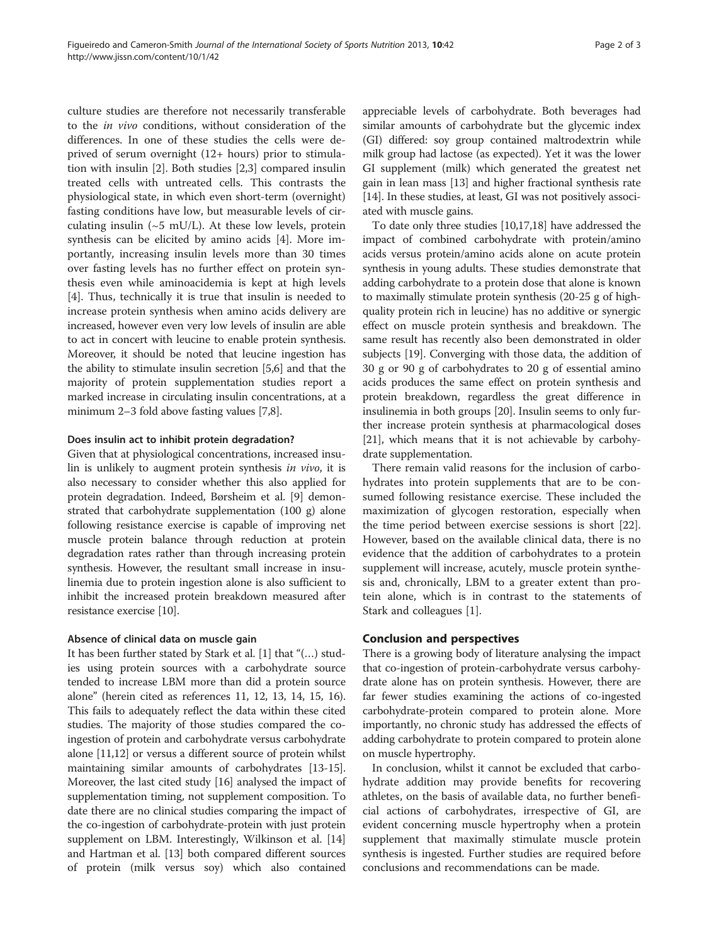culture studies are therefore not necessarily transferable to the in vivo conditions, without consideration of the differences. In one of these studies the cells were deprived of serum overnight (12+ hours) prior to stimulation with insulin [[2\]](#page-2-0). Both studies [\[2,3](#page-2-0)] compared insulin treated cells with untreated cells. This contrasts the physiological state, in which even short-term (overnight) fasting conditions have low, but measurable levels of circulating insulin ( $\sim$ 5 mU/L). At these low levels, protein synthesis can be elicited by amino acids [\[4\]](#page-2-0). More importantly, increasing insulin levels more than 30 times over fasting levels has no further effect on protein synthesis even while aminoacidemia is kept at high levels [[4\]](#page-2-0). Thus, technically it is true that insulin is needed to increase protein synthesis when amino acids delivery are increased, however even very low levels of insulin are able to act in concert with leucine to enable protein synthesis. Moreover, it should be noted that leucine ingestion has the ability to stimulate insulin secretion [\[5,6](#page-2-0)] and that the majority of protein supplementation studies report a marked increase in circulating insulin concentrations, at a minimum 2–3 fold above fasting values [\[7,8](#page-2-0)].

## Does insulin act to inhibit protein degradation?

Given that at physiological concentrations, increased insulin is unlikely to augment protein synthesis in vivo, it is also necessary to consider whether this also applied for protein degradation. Indeed, Børsheim et al. [\[9\]](#page-2-0) demonstrated that carbohydrate supplementation (100 g) alone following resistance exercise is capable of improving net muscle protein balance through reduction at protein degradation rates rather than through increasing protein synthesis. However, the resultant small increase in insulinemia due to protein ingestion alone is also sufficient to inhibit the increased protein breakdown measured after resistance exercise [[10](#page-2-0)].

## Absence of clinical data on muscle gain

It has been further stated by Stark et al. [\[1](#page-2-0)] that "(…) studies using protein sources with a carbohydrate source tended to increase LBM more than did a protein source alone" (herein cited as references 11, 12, 13, 14, 15, 16). This fails to adequately reflect the data within these cited studies. The majority of those studies compared the coingestion of protein and carbohydrate versus carbohydrate alone [\[11,12](#page-2-0)] or versus a different source of protein whilst maintaining similar amounts of carbohydrates [[13](#page-2-0)-[15](#page-2-0)]. Moreover, the last cited study [\[16\]](#page-2-0) analysed the impact of supplementation timing, not supplement composition. To date there are no clinical studies comparing the impact of the co-ingestion of carbohydrate-protein with just protein supplement on LBM. Interestingly, Wilkinson et al. [[14](#page-2-0)] and Hartman et al. [\[13](#page-2-0)] both compared different sources of protein (milk versus soy) which also contained

appreciable levels of carbohydrate. Both beverages had similar amounts of carbohydrate but the glycemic index (GI) differed: soy group contained maltrodextrin while milk group had lactose (as expected). Yet it was the lower GI supplement (milk) which generated the greatest net gain in lean mass [\[13\]](#page-2-0) and higher fractional synthesis rate [[14](#page-2-0)]. In these studies, at least, GI was not positively associated with muscle gains.

To date only three studies [[10,17,18\]](#page-2-0) have addressed the impact of combined carbohydrate with protein/amino acids versus protein/amino acids alone on acute protein synthesis in young adults. These studies demonstrate that adding carbohydrate to a protein dose that alone is known to maximally stimulate protein synthesis (20-25 g of highquality protein rich in leucine) has no additive or synergic effect on muscle protein synthesis and breakdown. The same result has recently also been demonstrated in older subjects [\[19\]](#page-2-0). Converging with those data, the addition of 30 g or 90 g of carbohydrates to 20 g of essential amino acids produces the same effect on protein synthesis and protein breakdown, regardless the great difference in insulinemia in both groups [\[20\]](#page-2-0). Insulin seems to only further increase protein synthesis at pharmacological doses [[21](#page-2-0)], which means that it is not achievable by carbohydrate supplementation.

There remain valid reasons for the inclusion of carbohydrates into protein supplements that are to be consumed following resistance exercise. These included the maximization of glycogen restoration, especially when the time period between exercise sessions is short [\[22](#page-2-0)]. However, based on the available clinical data, there is no evidence that the addition of carbohydrates to a protein supplement will increase, acutely, muscle protein synthesis and, chronically, LBM to a greater extent than protein alone, which is in contrast to the statements of Stark and colleagues [[1](#page-2-0)].

## Conclusion and perspectives

There is a growing body of literature analysing the impact that co-ingestion of protein-carbohydrate versus carbohydrate alone has on protein synthesis. However, there are far fewer studies examining the actions of co-ingested carbohydrate-protein compared to protein alone. More importantly, no chronic study has addressed the effects of adding carbohydrate to protein compared to protein alone on muscle hypertrophy.

In conclusion, whilst it cannot be excluded that carbohydrate addition may provide benefits for recovering athletes, on the basis of available data, no further beneficial actions of carbohydrates, irrespective of GI, are evident concerning muscle hypertrophy when a protein supplement that maximally stimulate muscle protein synthesis is ingested. Further studies are required before conclusions and recommendations can be made.